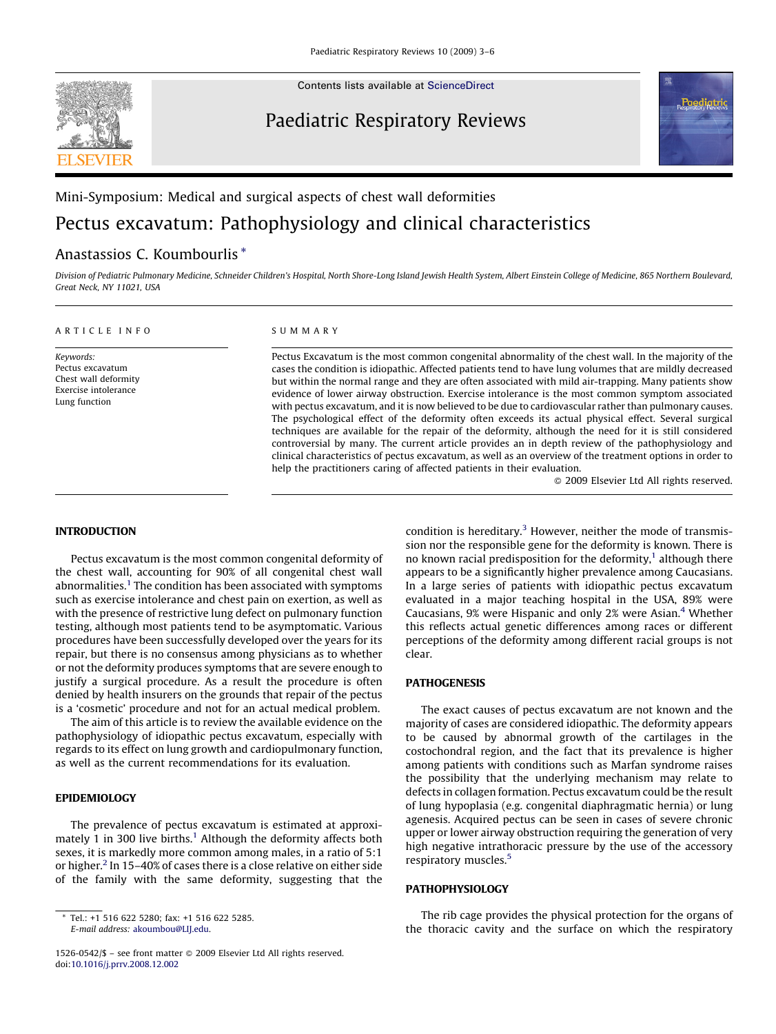**SEVIEE** 

Contents lists available at [ScienceDirect](http://www.sciencedirect.com/science/journal/15260542)

# Paediatric Respiratory Reviews



# Mini-Symposium: Medical and surgical aspects of chest wall deformities

# Pectus excavatum: Pathophysiology and clinical characteristics

# Anastassios C. Koumbourlis \*

Division of Pediatric Pulmonary Medicine, Schneider Children's Hospital, North Shore-Long Island Jewish Health System, Albert Einstein College of Medicine, 865 Northern Boulevard, Great Neck, NY 11021, USA

#### ARTICLE INFO

Keywords: Pectus excavatum Chest wall deformity Exercise intolerance Lung function

#### SUMMARY

Pectus Excavatum is the most common congenital abnormality of the chest wall. In the majority of the cases the condition is idiopathic. Affected patients tend to have lung volumes that are mildly decreased but within the normal range and they are often associated with mild air-trapping. Many patients show evidence of lower airway obstruction. Exercise intolerance is the most common symptom associated with pectus excavatum, and it is now believed to be due to cardiovascular rather than pulmonary causes. The psychological effect of the deformity often exceeds its actual physical effect. Several surgical techniques are available for the repair of the deformity, although the need for it is still considered controversial by many. The current article provides an in depth review of the pathophysiology and clinical characteristics of pectus excavatum, as well as an overview of the treatment options in order to help the practitioners caring of affected patients in their evaluation.

- 2009 Elsevier Ltd All rights reserved.

# INTRODUCTION

Pectus excavatum is the most common congenital deformity of the chest wall, accounting for 90% of all congenital chest wall abnormalities.<sup>1</sup> The condition has been associated with symptoms such as exercise intolerance and chest pain on exertion, as well as with the presence of restrictive lung defect on pulmonary function testing, although most patients tend to be asymptomatic. Various procedures have been successfully developed over the years for its repair, but there is no consensus among physicians as to whether or not the deformity produces symptoms that are severe enough to justify a surgical procedure. As a result the procedure is often denied by health insurers on the grounds that repair of the pectus is a 'cosmetic' procedure and not for an actual medical problem.

The aim of this article is to review the available evidence on the pathophysiology of idiopathic pectus excavatum, especially with regards to its effect on lung growth and cardiopulmonary function, as well as the current recommendations for its evaluation.

## EPIDEMIOLOGY

The prevalence of pectus excavatum is estimated at approxi-mately [1](#page-3-0) in 300 live births.<sup>1</sup> Although the deformity affects both sexes, it is markedly more common among males, in a ratio of 5:1 or higher.<sup>[2](#page-3-0)</sup> In 15-40% of cases there is a close relative on either side of the family with the same deformity, suggesting that the condition is hereditary.<sup>3</sup> However, neither the mode of transmission nor the responsible gene for the deformity is known. There is no known racial predisposition for the deformity, $1$  although there appears to be a significantly higher prevalence among Caucasians. In a large series of patients with idiopathic pectus excavatum evaluated in a major teaching hospital in the USA, 89% were Caucasians, 9% were Hispanic and only 2% were Asian.[4](#page-3-0) Whether this reflects actual genetic differences among races or different perceptions of the deformity among different racial groups is not clear.

## PATHOGENESIS

The exact causes of pectus excavatum are not known and the majority of cases are considered idiopathic. The deformity appears to be caused by abnormal growth of the cartilages in the costochondral region, and the fact that its prevalence is higher among patients with conditions such as Marfan syndrome raises the possibility that the underlying mechanism may relate to defects in collagen formation. Pectus excavatum could be the result of lung hypoplasia (e.g. congenital diaphragmatic hernia) or lung agenesis. Acquired pectus can be seen in cases of severe chronic upper or lower airway obstruction requiring the generation of very high negative intrathoracic pressure by the use of the accessory respiratory muscles.<sup>[5](#page-3-0)</sup>

## PATHOPHYSIOLOGY

The rib cage provides the physical protection for the organs of the thoracic cavity and the surface on which the respiratory

Tel.: +1 516 622 5280; fax: +1 516 622 5285. E-mail address: [akoumbou@LIJ.edu](mailto:akoumbou@LIJ.edu).

<sup>1526-0542/\$ -</sup> see front matter @ 2009 Elsevier Ltd All rights reserved. doi:[10.1016/j.prrv.2008.12.002](http://dx.doi.org/10.1016/j.prrv.2008.12.002)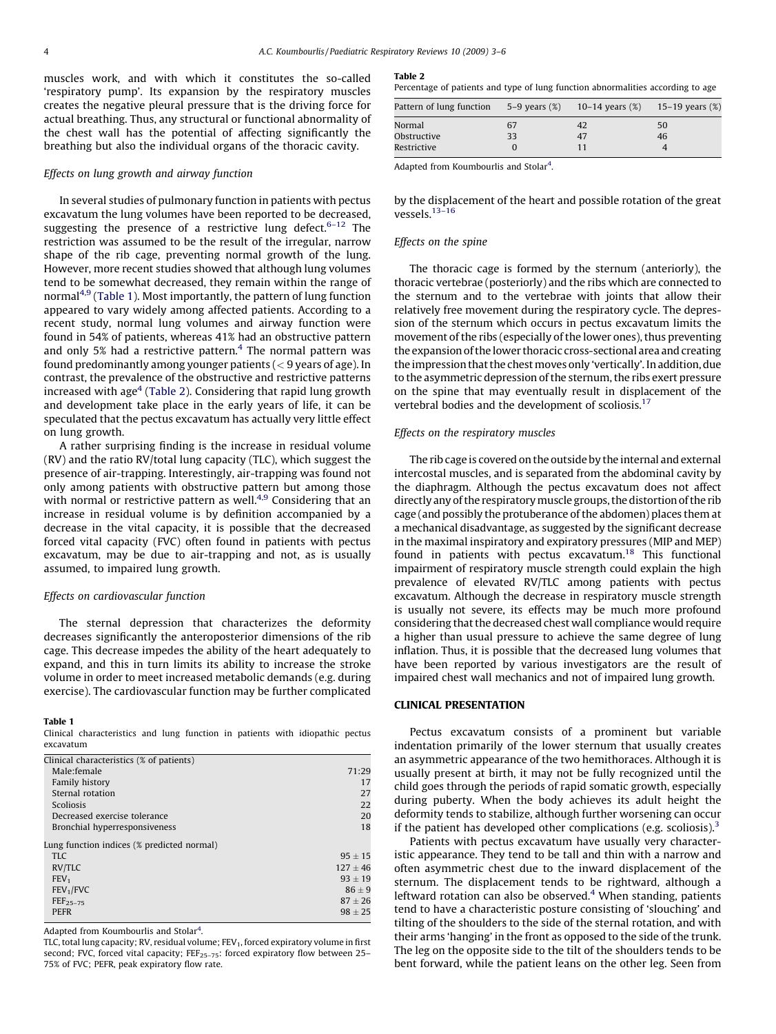muscles work, and with which it constitutes the so-called 'respiratory pump'. Its expansion by the respiratory muscles creates the negative pleural pressure that is the driving force for actual breathing. Thus, any structural or functional abnormality of the chest wall has the potential of affecting significantly the breathing but also the individual organs of the thoracic cavity.

#### Effects on lung growth and airway function

In several studies of pulmonary function in patients with pectus excavatum the lung volumes have been reported to be decreased, suggesting the presence of a restrictive lung defect.  $6-12$  The restriction was assumed to be the result of the irregular, narrow shape of the rib cage, preventing normal growth of the lung. However, more recent studies showed that although lung volumes tend to be somewhat decreased, they remain within the range of normal<sup>[4,9](#page-3-0)</sup> (Table 1). Most importantly, the pattern of lung function appeared to vary widely among affected patients. According to a recent study, normal lung volumes and airway function were found in 54% of patients, whereas 41% had an obstructive pattern and only 5% had a restrictive pattern. $4$  The normal pattern was found predominantly among younger patients  $(< 9$  years of age). In contrast, the prevalence of the obstructive and restrictive patterns increased with  $age<sup>4</sup>$  $age<sup>4</sup>$  $age<sup>4</sup>$  (Table 2). Considering that rapid lung growth and development take place in the early years of life, it can be speculated that the pectus excavatum has actually very little effect on lung growth.

A rather surprising finding is the increase in residual volume (RV) and the ratio RV/total lung capacity (TLC), which suggest the presence of air-trapping. Interestingly, air-trapping was found not only among patients with obstructive pattern but among those with normal or restrictive pattern as well.<sup>4,9</sup> Considering that an increase in residual volume is by definition accompanied by a decrease in the vital capacity, it is possible that the decreased forced vital capacity (FVC) often found in patients with pectus excavatum, may be due to air-trapping and not, as is usually assumed, to impaired lung growth.

#### Effects on cardiovascular function

The sternal depression that characterizes the deformity decreases significantly the anteroposterior dimensions of the rib cage. This decrease impedes the ability of the heart adequately to expand, and this in turn limits its ability to increase the stroke volume in order to meet increased metabolic demands (e.g. during exercise). The cardiovascular function may be further complicated

#### Table 1

Clinical characteristics and lung function in patients with idiopathic pectus excavatum

| 71:29       |
|-------------|
| 17          |
| 27          |
| 22          |
| 20          |
| 18          |
|             |
| $95 \pm 15$ |
| $127 + 46$  |
| $93 + 19$   |
| $86 + 9$    |
| $87 + 26$   |
| $98 + 25$   |
|             |

Adapted from Koumbourlis and Stolar<sup>[4](#page-3-0)</sup>.

TLC, total lung capacity; RV, residual volume;  $FEV<sub>1</sub>$ , forced expiratory volume in first second; FVC, forced vital capacity;  $FEF_{25-75}$ : forced expiratory flow between 25-75% of FVC; PEFR, peak expiratory flow rate.

Table 2

Percentage of patients and type of lung function abnormalities according to age Pattern of lung function  $5-9$  years  $(%)$  10–14 years  $(%)$  15–19 years  $(%)$ 

| Pattern of lung function $5-9$ vears $(%)$ $10-14$ vears $(%)$ $15-19$ vears $(%)$ |    |    |    |
|------------------------------------------------------------------------------------|----|----|----|
| Normal                                                                             | 67 |    | 50 |
| Obstructive                                                                        | 33 | 47 | 46 |
| Restrictive                                                                        |    |    |    |

Adapted from Koumbourlis and Stolar<sup>[4](#page-3-0)</sup>.

by the displacement of the heart and possible rotation of the great vessels. $13-16$ 

#### Effects on the spine

The thoracic cage is formed by the sternum (anteriorly), the thoracic vertebrae (posteriorly) and the ribs which are connected to the sternum and to the vertebrae with joints that allow their relatively free movement during the respiratory cycle. The depression of the sternum which occurs in pectus excavatum limits the movement of the ribs (especially of the lower ones), thus preventing the expansion of the lower thoracic cross-sectional area and creating the impression that the chest moves only 'vertically'. In addition, due to the asymmetric depression of the sternum, the ribs exert pressure on the spine that may eventually result in displacement of the vertebral bodies and the development of scoliosis.<sup>[17](#page-3-0)</sup>

#### Effects on the respiratory muscles

The rib cage is covered on the outside by the internal and external intercostal muscles, and is separated from the abdominal cavity by the diaphragm. Although the pectus excavatum does not affect directly any of the respiratorymuscle groups, the distortion of the rib cage (and possibly the protuberance of the abdomen) places them at a mechanical disadvantage, as suggested by the significant decrease in the maximal inspiratory and expiratory pressures (MIP and MEP) found in patients with pectus excavatum.<sup>18</sup> This functional impairment of respiratory muscle strength could explain the high prevalence of elevated RV/TLC among patients with pectus excavatum. Although the decrease in respiratory muscle strength is usually not severe, its effects may be much more profound considering that the decreased chest wall compliance would require a higher than usual pressure to achieve the same degree of lung inflation. Thus, it is possible that the decreased lung volumes that have been reported by various investigators are the result of impaired chest wall mechanics and not of impaired lung growth.

#### CLINICAL PRESENTATION

Pectus excavatum consists of a prominent but variable indentation primarily of the lower sternum that usually creates an asymmetric appearance of the two hemithoraces. Although it is usually present at birth, it may not be fully recognized until the child goes through the periods of rapid somatic growth, especially during puberty. When the body achieves its adult height the deformity tends to stabilize, although further worsening can occur if the patient has developed other complications (e.g. scoliosis).<sup>[3](#page-3-0)</sup>

Patients with pectus excavatum have usually very characteristic appearance. They tend to be tall and thin with a narrow and often asymmetric chest due to the inward displacement of the sternum. The displacement tends to be rightward, although a leftward rotation can also be observed. $4$  When standing, patients tend to have a characteristic posture consisting of 'slouching' and tilting of the shoulders to the side of the sternal rotation, and with their arms 'hanging' in the front as opposed to the side of the trunk. The leg on the opposite side to the tilt of the shoulders tends to be bent forward, while the patient leans on the other leg. Seen from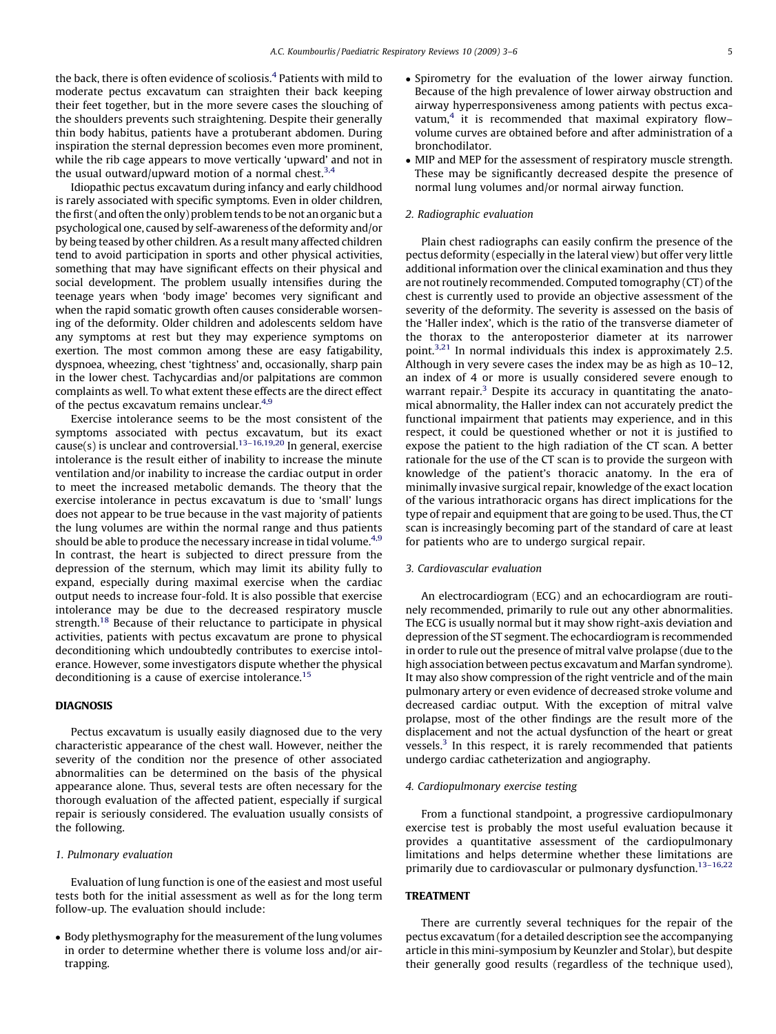the back, there is often evidence of scoliosis.[4](#page-3-0) Patients with mild to moderate pectus excavatum can straighten their back keeping their feet together, but in the more severe cases the slouching of the shoulders prevents such straightening. Despite their generally thin body habitus, patients have a protuberant abdomen. During inspiration the sternal depression becomes even more prominent, while the rib cage appears to move vertically 'upward' and not in the usual outward/upward motion of a normal chest. $3,4$ 

Idiopathic pectus excavatum during infancy and early childhood is rarely associated with specific symptoms. Even in older children, the first (and often the only) problem tends to be not an organic but a psychological one, caused by self-awareness of the deformity and/or by being teased by other children. As a result many affected children tend to avoid participation in sports and other physical activities, something that may have significant effects on their physical and social development. The problem usually intensifies during the teenage years when 'body image' becomes very significant and when the rapid somatic growth often causes considerable worsening of the deformity. Older children and adolescents seldom have any symptoms at rest but they may experience symptoms on exertion. The most common among these are easy fatigability, dyspnoea, wheezing, chest 'tightness' and, occasionally, sharp pain in the lower chest. Tachycardias and/or palpitations are common complaints as well. To what extent these effects are the direct effect of the pectus excavatum remains unclear.<sup>[4,9](#page-3-0)</sup>

Exercise intolerance seems to be the most consistent of the symptoms associated with pectus excavatum, but its exact cause(s) is unclear and controversial.<sup>13-16,19,20</sup> In general, exercise intolerance is the result either of inability to increase the minute ventilation and/or inability to increase the cardiac output in order to meet the increased metabolic demands. The theory that the exercise intolerance in pectus excavatum is due to 'small' lungs does not appear to be true because in the vast majority of patients the lung volumes are within the normal range and thus patients should be able to produce the necessary increase in tidal volume.<sup>[4,9](#page-3-0)</sup> In contrast, the heart is subjected to direct pressure from the depression of the sternum, which may limit its ability fully to expand, especially during maximal exercise when the cardiac output needs to increase four-fold. It is also possible that exercise intolerance may be due to the decreased respiratory muscle strength.<sup>[18](#page-3-0)</sup> Because of their reluctance to participate in physical activities, patients with pectus excavatum are prone to physical deconditioning which undoubtedly contributes to exercise intolerance. However, some investigators dispute whether the physical deconditioning is a cause of exercise intolerance.<sup>[15](#page-3-0)</sup>

#### DIAGNOSIS

Pectus excavatum is usually easily diagnosed due to the very characteristic appearance of the chest wall. However, neither the severity of the condition nor the presence of other associated abnormalities can be determined on the basis of the physical appearance alone. Thus, several tests are often necessary for the thorough evaluation of the affected patient, especially if surgical repair is seriously considered. The evaluation usually consists of the following.

#### 1. Pulmonary evaluation

Evaluation of lung function is one of the easiest and most useful tests both for the initial assessment as well as for the long term follow-up. The evaluation should include:

• Body plethysmography for the measurement of the lung volumes in order to determine whether there is volume loss and/or airtrapping.

- Spirometry for the evaluation of the lower airway function. Because of the high prevalence of lower airway obstruction and airway hyperresponsiveness among patients with pectus excavatum, $4$  it is recommended that maximal expiratory flowvolume curves are obtained before and after administration of a bronchodilator.
- MIP and MEP for the assessment of respiratory muscle strength. These may be significantly decreased despite the presence of normal lung volumes and/or normal airway function.

#### 2. Radiographic evaluation

Plain chest radiographs can easily confirm the presence of the pectus deformity (especially in the lateral view) but offer very little additional information over the clinical examination and thus they are not routinely recommended. Computed tomography (CT) of the chest is currently used to provide an objective assessment of the severity of the deformity. The severity is assessed on the basis of the 'Haller index', which is the ratio of the transverse diameter of the thorax to the anteroposterior diameter at its narrower point.[3,21](#page-3-0) In normal individuals this index is approximately 2.5. Although in very severe cases the index may be as high as 10–12, an index of 4 or more is usually considered severe enough to warrant repair.<sup>[3](#page-3-0)</sup> Despite its accuracy in quantitating the anatomical abnormality, the Haller index can not accurately predict the functional impairment that patients may experience, and in this respect, it could be questioned whether or not it is justified to expose the patient to the high radiation of the CT scan. A better rationale for the use of the CT scan is to provide the surgeon with knowledge of the patient's thoracic anatomy. In the era of minimally invasive surgical repair, knowledge of the exact location of the various intrathoracic organs has direct implications for the type of repair and equipment that are going to be used. Thus, the CT scan is increasingly becoming part of the standard of care at least for patients who are to undergo surgical repair.

#### 3. Cardiovascular evaluation

An electrocardiogram (ECG) and an echocardiogram are routinely recommended, primarily to rule out any other abnormalities. The ECG is usually normal but it may show right-axis deviation and depression of the ST segment. The echocardiogram is recommended in order to rule out the presence of mitral valve prolapse (due to the high association between pectus excavatum and Marfan syndrome). It may also show compression of the right ventricle and of the main pulmonary artery or even evidence of decreased stroke volume and decreased cardiac output. With the exception of mitral valve prolapse, most of the other findings are the result more of the displacement and not the actual dysfunction of the heart or great vessels.<sup>[3](#page-3-0)</sup> In this respect, it is rarely recommended that patients undergo cardiac catheterization and angiography.

#### 4. Cardiopulmonary exercise testing

From a functional standpoint, a progressive cardiopulmonary exercise test is probably the most useful evaluation because it provides a quantitative assessment of the cardiopulmonary limitations and helps determine whether these limitations are primarily due to cardiovascular or pulmonary dysfunction.<sup>[13–16,22](#page-3-0)</sup>

#### TREATMENT

There are currently several techniques for the repair of the pectus excavatum (for a detailed description see the accompanying article in this mini-symposium by Keunzler and Stolar), but despite their generally good results (regardless of the technique used),